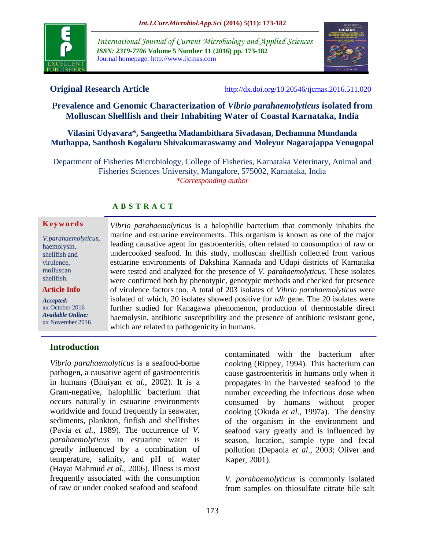

*International Journal of Current Microbiology and Applied Sciences ISSN: 2319-7706* **Volume 5 Number 11 (2016) pp. 173-182** Journal homepage: http://www.ijcmas.com



**Original Research Article** <http://dx.doi.org/10.20546/ijcmas.2016.511.020>

# **Prevalence and Genomic Characterization of** *Vibrio parahaemolyticus* **isolated from Molluscan Shellfish and their Inhabiting Water of Coastal Karnataka, India**

**Vilasini Udyavara\*, Sangeetha Madambithara Sivadasan, Dechamma Mundanda Muthappa, Santhosh Kogaluru Shivakumaraswamy and Moleyur Nagarajappa Venugopal**

Department of Fisheries Microbiology, College of Fisheries, Karnataka Veterinary, Animal and Fisheries Sciences University, Mangalore, 575002, Karnataka, India *\*Corresponding author*

# **A B S T R A C T**

#### **K e y w o r d s**

| V.parahaemolyticus,      |
|--------------------------|
| haemolysin,              |
| shellfish and            |
| virulence,               |
| molluscan                |
| shellfish.               |
| Article Info             |
| Accepted:                |
| xx October 2016          |
| <b>Available Online:</b> |
| xx November 2016         |

*Vibrio parahaemolyticus* is a halophilic bacterium that commonly inhabits the marine and estuarine environments. This organism is known as one of the major leading causative agent for gastroenteritis, often related to consumption of raw or undercooked seafood. In this study, molluscan shellfish collected from various estuarine environments of Dakshina Kannada and Udupi districts of Karnataka were tested and analyzed for the presence of *V. parahaemolyticus*. These isolates were confirmed both by phenotypic, genotypic methods and checked for presence of virulence factors too. A total of 203 isolates of *Vibrio parahaemolyticus* were isolated of which, 20 isolates showed positive for *tdh* gene. The 20 isolates were further studied for Kanagawa phenomenon, production of thermostable direct haemolysin, antibiotic susceptibility and the presence of antibiotic resistant gene, which are related to pathogenicity in humans.

# **Introduction**

*Vibrio parahaemolyticus* is a seafood-borne pathogen, a causative agent of gastroenteritis in humans (Bhuiyan *et al.*, 2002). It is a Gram-negative, halophilic bacterium that occurs naturally in estuarine environments worldwide and found frequently in seawater, sediments, plankton, finfish and shellfishes (Pavia *et al.,* 1989). The occurrence of *V. parahaemolyticus* in estuarine water is greatly influenced by a combination of temperature, salinity, and pH of water (Hayat Mahmud *et al.*, 2006). Illness is most frequently associated with the consumption of raw or under cooked seafood and seafood

contaminated with the bacterium after cooking (Rippey, 1994). This bacterium can cause gastroenteritis in humans only when it propagates in the harvested seafood to the number exceeding the infectious dose when consumed by humans without proper cooking (Okuda *et al*., 1997a). The density of the organism in the environment and seafood vary greatly and is influenced by season, location, sample type and fecal pollution (Depaola *et al*., 2003; Oliver and Kaper, 2001).

*V. parahaemolyticus* is commonly isolated from samples on thiosulfate citrate bile salt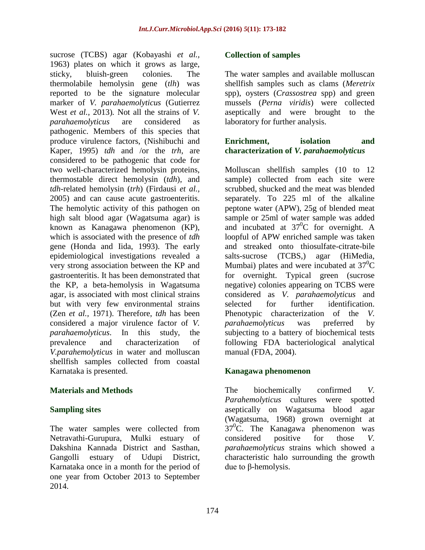sucrose (TCBS) agar (Kobayashi *et al.,* 1963) plates on which it grows as large, sticky, bluish-green colonies. The thermolabile hemolysin gene (*tlh*) was reported to be the signature molecular marker of *V. parahaemolyticus* (Gutierrez West *et al.,* 2013)*.* Not all the strains of *V. parahaemolyticus* are considered as pathogenic. Members of this species that produce virulence factors, (Nishibuchi and Kaper, 1995) *tdh* and /or the *trh*, are considered to be pathogenic that code for two well-characterized hemolysin proteins, thermostable direct hemolysin (*tdh*), and *tdh*-related hemolysin (*trh*) (Firdausi *et al.,* 2005) and can cause acute gastroenteritis. The hemolytic activity of this pathogen on high salt blood agar (Wagatsuma agar) is known as Kanagawa phenomenon (KP), which is associated with the presence of *tdh*  gene (Honda and Iida, 1993). The early epidemiological investigations revealed a very strong association between the KP and gastroenteritis. It has been demonstrated that the KP, a beta-hemolysis in Wagatsuma agar, is associated with most clinical strains but with very few environmental strains (Zen *et al.,* 1971). Therefore, *tdh* has been considered a major virulence factor of *V. parahaemolyticus*. In this study, the prevalence and characterization of *V.parahemolyticus* in water and molluscan shellfish samples collected from coastal Karnataka is presented.

## **Materials and Methods**

## **Sampling sites**

The water samples were collected from Netravathi-Gurupura, Mulki estuary of Dakshina Kannada District and Sasthan, Gangolli estuary of Udupi District, Karnataka once in a month for the period of one year from October 2013 to September 2014.

## **Collection of samples**

The water samples and available molluscan shellfish samples such as clams (*Meretrix* spp), oysters (*Crassostrea* spp) and green mussels (*Perna viridis*) were collected aseptically and were brought to the laboratory for further analysis.

## **Enrichment, isolation and characterization of** *V. parahaemolyticus*

Molluscan shellfish samples (10 to 12 sample) collected from each site were scrubbed, shucked and the meat was blended separately. To 225 ml of the alkaline peptone water (APW), 25g of blended meat sample or 25ml of water sample was added and incubated at  $37^0C$  for overnight. A loopful of APW enriched sample was taken and streaked onto thiosulfate-citrate-bile salts-sucrose (TCBS,) agar (HiMedia, Mumbai) plates and were incubated at  $37^0C$ for overnight. Typical green (sucrose negative) colonies appearing on TCBS were considered as *V. parahaemolyticus* and selected for further identification. Phenotypic characterization of the *V. parahaemolyticus* was preferred by subjecting to a battery of biochemical tests following FDA bacteriological analytical manual (FDA, 2004).

## **Kanagawa phenomenon**

The biochemically confirmed *V. Parahemolyticus* cultures were spotted aseptically on Wagatsuma blood agar (Wagatsuma, 1968) grown overnight at  $37^0$ C. The Kanagawa phenomenon was considered positive for those *V. parahaemolyticus* strains which showed a characteristic halo surrounding the growth due to β-hemolysis.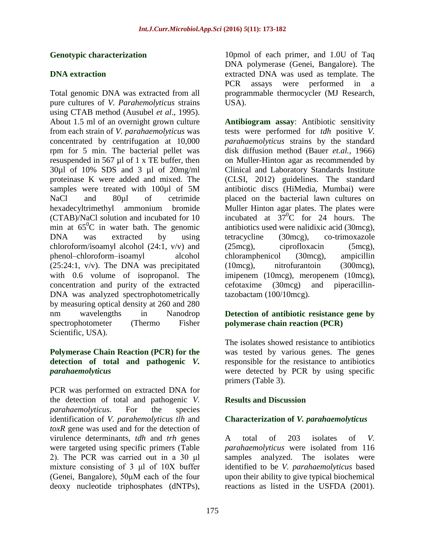## **Genotypic characterization**

## **DNA extraction**

Total genomic DNA was extracted from all pure cultures of *V. Parahemolyticus* strains using CTAB method (Ausubel *et al*., 1995). About 1.5 ml of an overnight grown culture from each strain of *V. parahaemolyticus* was concentrated by centrifugation at 10,000 rpm for 5 min. The bacterial pellet was resuspended in 567 µl of 1 x TE buffer, then 30µl of 10% SDS and 3 µl of 20mg/ml proteinase K were added and mixed. The samples were treated with 100ul of 5M NaCl and 80ul of cetrimide hexadecyltrimethyl ammonium bromide (CTAB)/NaCl solution and incubated for 10 min at  $65^{\circ}$ C in water bath. The genomic DNA was extracted by using chloroform/isoamyl alcohol (24:1, v/v) and phenol–chloroform–isoamyl alcohol (25:24:1, v/v). The DNA was precipitated with 0.6 volume of isopropanol. The concentration and purity of the extracted DNA was analyzed spectrophotometrically by measuring optical density at 260 and 280 nm wavelengths in Nanodrop spectrophotometer (Thermo Fisher Scientific, USA).

## **Polymerase Chain Reaction (PCR) for the detection of total and pathogenic** *V. parahaemolyticus*

PCR was performed on extracted DNA for the detection of total and pathogenic *V. parahaemolyticus*. For the species identification of *V. parahemolyticus tlh* and *toxR* gene was used and for the detection of virulence determinants, *tdh* and *trh* genes were targeted using specific primers (Table 2). The PCR was carried out in a 30 μl mixture consisting of 3 μl of 10X buffer (Genei, Bangalore), 50μM each of the four deoxy nucleotide triphosphates (dNTPs),

10pmol of each primer, and 1.0U of Taq DNA polymerase (Genei, Bangalore). The extracted DNA was used as template. The PCR assays were performed in a programmable thermocycler (MJ Research, USA).

**Antibiogram assay**: Antibiotic sensitivity tests were performed for *tdh* positive *V. parahaemolyticus* strains by the standard disk diffusion method (Bauer *et.al.,* 1966) on Muller-Hinton agar as recommended by Clinical and Laboratory Standards Institute (CLSI, 2012) guidelines. The standard antibiotic discs (HiMedia, Mumbai) were placed on the bacterial lawn cultures on Muller Hinton agar plates. The plates were incubated at  $37^0C$  for 24 hours. The antibiotics used were nalidixic acid (30mcg), tetracycline (30mcg), co-trimoxazole (25mcg), ciprofloxacin (5mcg), chloramphenicol (30mcg), ampicillin (10mcg), nitrofurantoin (300mcg), imipenem (10mcg), meropenem (10mcg), cefotaxime (30mcg) and piperacillintazobactam (100/10mcg).

## **Detection of antibiotic resistance gene by polymerase chain reaction (PCR)**

The isolates showed resistance to antibiotics was tested by various genes. The genes responsible for the resistance to antibiotics were detected by PCR by using specific primers (Table 3).

# **Results and Discussion**

## **Characterization of** *V. parahaemolyticus*

A total of 203 isolates of *V. parahaemolyticus* were isolated from 116 samples analyzed. The isolates were identified to be *V. parahaemolyticus* based upon their ability to give typical biochemical reactions as listed in the USFDA (2001).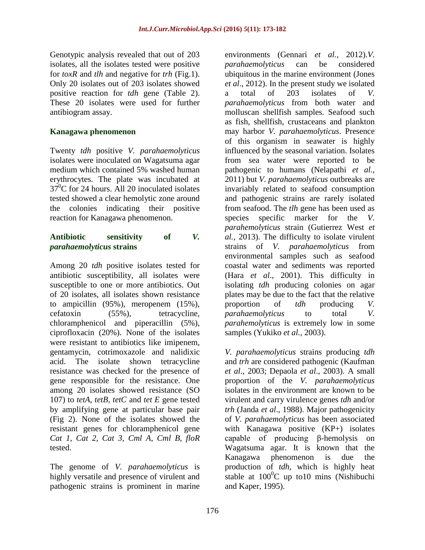Genotypic analysis revealed that out of 203 isolates, all the isolates tested were positive for *toxR* and *tlh* and negative for *trh* (Fig.1). Only 20 isolates out of 203 isolates showed positive reaction for *tdh* gene (Table 2). These 20 isolates were used for further antibiogram assay.

## **Kanagawa phenomenon**

Twenty *tdh* positive *V. parahaemolyticus* isolates were inoculated on Wagatsuma agar medium which contained 5% washed human erythrocytes. The plate was incubated at  $37^{\circ}$ C for 24 hours. All 20 inoculated isolates tested showed a clear hemolytic zone around the colonies indicating their positive reaction for Kanagawa phenomenon.

#### **Antibiotic sensitivity of** *V. parahaemolyticus* **strains**

Among 20 *tdh* positive isolates tested for antibiotic susceptibility, all isolates were susceptible to one or more antibiotics. Out of 20 isolates, all isolates shown resistance to ampicillin (95%), meropenem (15%), cefatoxin (55%), tetracycline, chloramphenicol and piperacillin (5%), ciprofloxacin (20%). None of the isolates were resistant to antibiotics like imipenem, gentamycin, cotrimoxazole and nalidixic acid. The isolate shown tetracycline resistance was checked for the presence of gene responsible for the resistance. One among 20 isolates showed resistance (SO 107) to *tetA*, *tetB*, *tetC* and *tet E* gene tested by amplifying gene at particular base pair (Fig 2). None of the isolates showed the resistant genes for chloramphenicol gene *Cat 1, Cat 2, Cat 3, Cml A, Cml B, floR* tested.

The genome of *V. parahaemolyticus* is highly versatile and presence of virulent and pathogenic strains is prominent in marine

environments (Gennari *et al.,* 2012).*V. parahaemolyticus* can be considered ubiquitous in the marine environment (Jones *et al*., 2012). In the present study we isolated a total of 203 isolates of *V. parahaemolyticus* from both water and molluscan shellfish samples. Seafood such as fish, shellfish, crustaceans and plankton may harbor *V. parahaemolyticus*. Presence of this organism in seawater is highly influenced by the seasonal variation. Isolates from sea water were reported to be pathogenic to humans (Nelapathi *et al.*, 2011) but *V. parahaemolyticus* outbreaks are invariably related to seafood consumption and pathogenic strains are rarely isolated from seafood. The *tlh* gene has been used as species specific marker for the *V*. *parahemolyticus* strain (Gutierrez West *et al.,* 2013). The difficulty to isolate virulent strains of *V. parahaemolyticus* from environmental samples such as seafood coastal water and sediments was reported (Hara *et al*., 2001). This difficulty in isolating *tdh* producing colonies on agar plates may be due to the fact that the relative proportion of *tdh* producing *V. parahaemolyticus* to total *V. parahemolyticus* is extremely low in some samples (Yukiko *et al.,* 2003).

*V. parahaemolyticus* strains producing *tdh* and *trh* are considered pathogenic (Kaufman *et al*., 2003; Depaola *et al*., 2003). A small proportion of the *V. parahaemolyticus* isolates in the environment are known to be virulent and carry virulence genes *tdh* and/or *trh* (Janda *et al*., 1988). Major pathogenicity of *V. parahaemolyticus* has been associated with Kanagawa positive (KP+) isolates capable of producing β-hemolysis on Wagatsuma agar. It is known that the Kanagawa phenomenon is due the production of *tdh*, which is highly heat stable at  $100^{\circ}$ C up to10 mins (Nishibuchi and Kaper, 1995).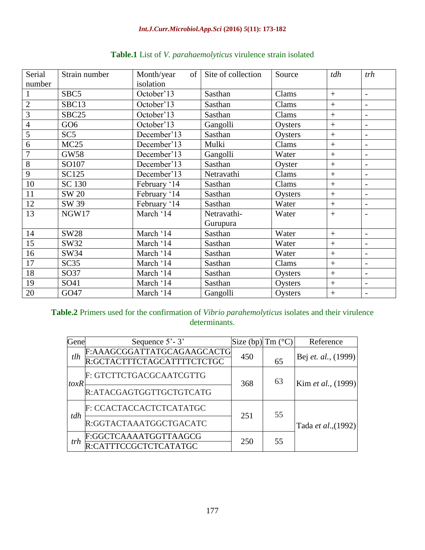| Serial         | Strain number     | Month/year<br>of | Site of collection | Source  | tdh              | trh                      |
|----------------|-------------------|------------------|--------------------|---------|------------------|--------------------------|
| number         |                   | isolation        |                    |         |                  |                          |
|                | SBC5              | October'13       | Sasthan            | Clams   | $+$              | $\overline{\phantom{a}}$ |
| $\overline{2}$ | SBC13             | October'13       | Sasthan            | Clams   | $+$              | $\overline{\phantom{a}}$ |
| 3              | SBC <sub>25</sub> | October'13       | Sasthan            | Clams   | $+$              | $\blacksquare$           |
| $\overline{4}$ | GO <sub>6</sub>   | October'13       | Gangolli           | Oysters | $+$              | $\overline{\phantom{a}}$ |
| 5              | SC5               | December'13      | Sasthan            | Oysters | $+$              | $\overline{\phantom{a}}$ |
| 6              | MC25              | December'13      | Mulki              | Clams   | $+$              | $\blacksquare$           |
| $\overline{7}$ | <b>GW58</b>       | December'13      | Gangolli           | Water   | $+$              | $\overline{\phantom{a}}$ |
| $\overline{8}$ | SO107             | December'13      | Sasthan            | Oyster  | $+$              | $\overline{\phantom{a}}$ |
| 9              | SC125             | December'13      | Netravathi         | Clams   | $+$              | $\blacksquare$           |
| 10             | SC 130            | February '14     | Sasthan            | Clams   |                  | $\overline{\phantom{a}}$ |
| 11             | SW 20             | February '14     | Sasthan            | Oysters | $^{+}$           | $\overline{a}$           |
| 12             | SW 39             | February '14     | Sasthan            | Water   | $+$              | $\blacksquare$           |
| 13             | NGW17             | March '14        | Netravathi-        | Water   | $+$              | $\overline{\phantom{0}}$ |
|                |                   |                  | Gurupura           |         |                  |                          |
| 14             | SW28              | March '14        | Sasthan            | Water   | $+$              | $\blacksquare$           |
| 15             | SW32              | March '14        | Sasthan            | Water   | $+$              | $\overline{\phantom{a}}$ |
| 16             | SW34              | March '14        | Sasthan            | Water   | $\boldsymbol{+}$ | $\overline{a}$           |
| 17             | SC35              | March '14        | Sasthan            | Clams   | $+$              | $\blacksquare$           |
| 18             | SO37              | March '14        | Sasthan            | Oysters | $+$              | $\overline{\phantom{a}}$ |
| 19             | SO41              | March '14        | Sasthan            | Oysters | $+$              | $\overline{\phantom{a}}$ |
| 20             | GO47              | March '14        | Gangolli           | Oysters | $^{+}$           | $\blacksquare$           |

# **Table.1** List of *V. parahaemolyticus* virulence strain isolated

#### **Table.2** Primers used for the confirmation of *Vibrio parahemolyticus* isolates and their virulence determinants.

| Gene | Sequence $5'$ - 3'                                       | Size (bp) | Tm (°C) | Reference                   |  |
|------|----------------------------------------------------------|-----------|---------|-----------------------------|--|
| tlh  | F:AAAGCGGATTATGCAGAAGCACTG<br>R:GCTACTTTCTAGCATTTTCTCTGC | 450       | 65      | Bej <i>et. al.</i> , (1999) |  |
| toxR | F: GTCTTCTGACGCAATCGTTG                                  | 368       | 63      | Kim et al., (1999)          |  |
|      | R:ATACGAGTGGTTGCTGTCATG                                  |           |         |                             |  |
| tdh  | F: CCACTACCACTCTCATATGC                                  | 251       | 55      | Tada et al., (1992)         |  |
|      | R:GGTACTAAATGGCTGACATC                                   |           |         |                             |  |
| trh  | F:GGCTCAAAATGGTTAAGCG<br>::CATTTCCGCTCTCATATGC           | 250       | 55      |                             |  |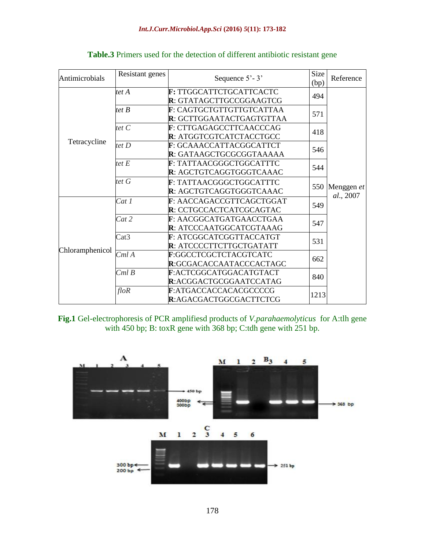| Antimicrobials  | Resistant genes | Sequence $5'$ - 3'                                         | Size<br>(bp) | Reference                   |
|-----------------|-----------------|------------------------------------------------------------|--------------|-----------------------------|
|                 | tet A           | F: TTGGCATTCTGCATTCACTC<br>R: GTATAGCTTGCCGGAAGTCG         | 494          |                             |
|                 | tet B           | F: CAGTGCTGTTGTTGTCATTAA<br>R: GCTTGGAATACTGAGTGTTAA       | 571          |                             |
|                 | tet $C$         | F: CTTGAGAGCCTTCAACCCAG<br>R: ATGGTCGTCATCTACCTGCC         | 418          |                             |
| Tetracycline    | tet $D$         | F: GCAAACCATTACGGCATTCT<br>R: GATAAGCTGCGCGGTAAAAA         | 546          |                             |
|                 | tet $E$         | F: TATTAACGGGCTGGCATTTC<br>R: AGCTGTCAGGTGGGTCAAAC         | 544          |                             |
|                 | tet G           | F: TATTAACGGGCTGGCATTTC<br>R: AGCTGTCAGGTGGGTCAAAC         |              | 550 Menggen et<br>al., 2007 |
|                 | Cat1            | F: AACCAGACCGTTCAGCTGGAT<br>R: CCTGCCACTCATCGCAGTAC        | 549          |                             |
|                 | Cat 2           | F: AACGGCATGATGAACCTGAA<br>R: ATCCCAATGGCATCGTAAAG         | 547          |                             |
| Chloramphenicol | Cat3            | F: ATCGGCATCGGTTACCATGT<br><b>R</b> : ATCCCCTTCTTGCTGATATT | 531          |                             |
|                 | CmlA            | F:GGCCTCGCTCTACGTCATC<br>R:GCGACACCAATACCCACTAGC           | 662          |                             |
|                 | CmlB            | F:ACTCGGCATGGACATGTACT<br>R:ACGGACTGCGGAATCCATAG           | 840          |                             |
|                 | $f$ lo $R$      | F:ATGACCACCACACGCCCCG<br>R:AGACGACTGGCGACTTCTCG            | 1213         |                             |

## **Table.3** Primers used for the detection of different antibiotic resistant gene

**Fig.1** Gel-electrophoresis of PCR amplifiesd products of *V.parahaemolyticus* for A:tlh gene with 450 bp; B: toxR gene with 368 bp; C:tdh gene with 251 bp.

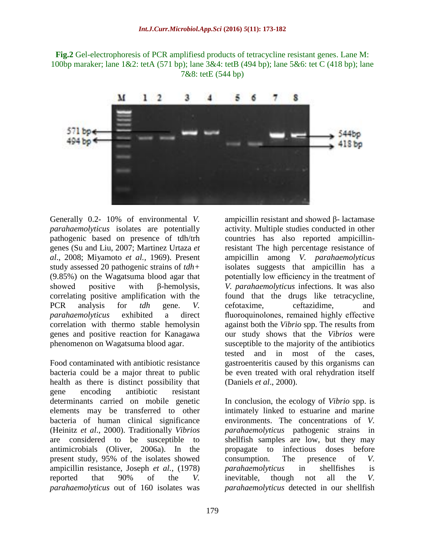**Fig.2** Gel-electrophoresis of PCR amplifiesd products of tetracycline resistant genes. Lane M: 100bp maraker; lane 1&2: tetA (571 bp); lane 3&4: tetB (494 bp); lane 5&6: tet C (418 bp); lane 7&8: tetE (544 bp)

![](_page_6_Figure_2.jpeg)

Generally 0.2- 10% of environmental *V. parahaemolyticus* isolates are potentially pathogenic based on presence of tdh/trh genes (Su and Liu, 2007; Martinez Urtaza *et al*., 2008; Miyamoto *et al.,* 1969). Present study assessed 20 pathogenic strains of *tdh+*  (9.85%) on the Wagatsuma blood agar that showed positive with β-hemolysis, correlating positive amplification with the PCR analysis for *tdh* gene. *V. parahaemolyticus* exhibited a direct correlation with thermo stable hemolysin genes and positive reaction for Kanagawa phenomenon on Wagatsuma blood agar.

Food contaminated with antibiotic resistance bacteria could be a major threat to public health as there is distinct possibility that gene encoding antibiotic resistant determinants carried on mobile genetic elements may be transferred to other bacteria of human clinical significance (Heinitz *et al*., 2000). Traditionally *Vibrios*  are considered to be susceptible to antimicrobials (Oliver, 2006a). In the present study, 95% of the isolates showed ampicillin resistance, Joseph *et al.,* (1978) reported that 90% of the *V. parahaemolyticus* out of 160 isolates was

ampicillin resistant and showed β- lactamase activity. Multiple studies conducted in other countries has also reported ampicillinresistant The high percentage resistance of ampicillin among *V. parahaemolyticus* isolates suggests that ampicillin has a potentially low efficiency in the treatment of *V. parahaemolyticus* infections. It was also found that the drugs like tetracycline, cefotaxime, ceftazidime, and fluoroquinolones, remained highly effective against both the *Vibrio* spp. The results from our study shows that the *Vibrios* were susceptible to the majority of the antibiotics tested and in most of the cases, gastroenteritis caused by this organisms can be even treated with oral rehydration itself (Daniels *et al*., 2000).

In conclusion, the ecology of *Vibrio* spp. is intimately linked to estuarine and marine environments. The concentrations of *V. parahaemolyticus* pathogenic strains in shellfish samples are low, but they may propagate to infectious doses before consumption. The presence of *V. parahaemolyticus* in shellfishes is inevitable, though not all the *V. parahaemolyticus* detected in our shellfish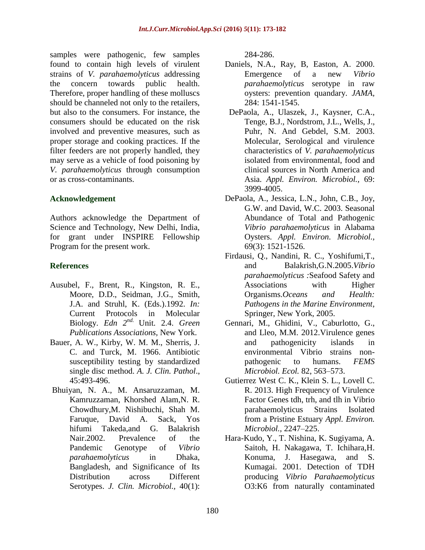samples were pathogenic, few samples found to contain high levels of virulent strains of *V. parahaemolyticus* addressing the concern towards public health. Therefore, proper handling of these molluscs should be channeled not only to the retailers, but also to the consumers. For instance, the consumers should be educated on the risk involved and preventive measures, such as proper storage and cooking practices. If the filter feeders are not properly handled, they may serve as a vehicle of food poisoning by *V. parahaemolyticus* through consumption or as cross-contaminants.

#### **Acknowledgement**

Authors acknowledge the Department of Science and Technology, New Delhi, India, for grant under INSPIRE Fellowship Program for the present work.

## **References**

- Ausubel, F., Brent, R., Kingston, R. E., Moore, D.D., Seidman, J.G., Smith, J.A. and Struhl, K. (Eds.).1992. *In:*  Current Protocols in Molecular Biology. *Edn 2nd.* Unit. 2.4. *Green Publications Associations,* New York.
- Bauer, A. W., Kirby, W. M. M., Sherris, J. C. and Turck, M. 1966. Antibiotic susceptibility testing by standardized single disc method. *A. J. Clin. Pathol*., 45:493-496.
- Bhuiyan, N. A., M. Ansaruzzaman, M. Kamruzzaman, Khorshed Alam,N. R. Chowdhury,M. Nishibuchi, Shah M. Faruque, David A. Sack, Yos hifumi Takeda,and G. Balakrish Nair.2002. Prevalence of the Pandemic Genotype of *Vibrio parahaemolyticus* in Dhaka, Bangladesh, and Significance of Its Distribution across Different Serotypes. *J. Clin. Microbiol.,* 40(1):

284-286.

- Daniels, N.A., Ray, B, Easton, A. 2000. Emergence of a new *Vibrio parahaemolyticus* serotype in raw oysters: prevention quandary. *JAMA,* 284: 1541-1545.
- DePaola, A., Ulaszek, J., Kaysner, C.A., Tenge, B.J., Nordstrom, J.L., Wells, J., Puhr, N. And Gebdel, S.M. 2003. Molecular, Serological and virulence characteristics of *V. parahaemolyticus* isolated from environmental, food and clinical sources in North America and Asia. *Appl. Environ. Microbiol.,* 69: 3999-4005.
- DePaola, A., Jessica, L.N., John, C.B., Joy, G.W. and David, W.C. 2003. Seasonal Abundance of Total and Pathogenic *Vibrio parahaemolyticus* in Alabama Oysters. *Appl. Environ. Microbiol.,*  69(3): 1521-1526.
- Firdausi, Q., Nandini, R. C., Yoshifumi,T., and Balakrish,G.N.2005.*Vibrio parahaemolyticus :*Seafood Safety and Associations with Higher Organisms.*Oceans and Health: Pathogens in the Marine Environment,*  Springer, New York, 2005.
- Gennari, M., Ghidini, V., Caburlotto, G., and Lleo, M.M. 2012.Virulence genes and pathogenicity islands in environmental Vibrio strains nonpathogenic to humans. *FEMS Microbiol. Ecol.* 82, 563–573.
- Gutierrez West C. K., Klein S. L., Lovell C. R. 2013. High Frequency of Virulence Factor Genes tdh, trh, and tlh in Vibrio parahaemolyticus Strains Isolated from a Pristine Estuary *Appl. Environ. Microbiol.,* 2247–225.
- Hara-Kudo, Y., T. Nishina, K. Sugiyama, A. Saitoh, H. Nakagawa, T. Ichihara,H. Konuma, J. Hasegawa, and S. Kumagai. 2001. Detection of TDH producing *Vibrio Parahaemolyticus*  O3:K6 from naturally contaminated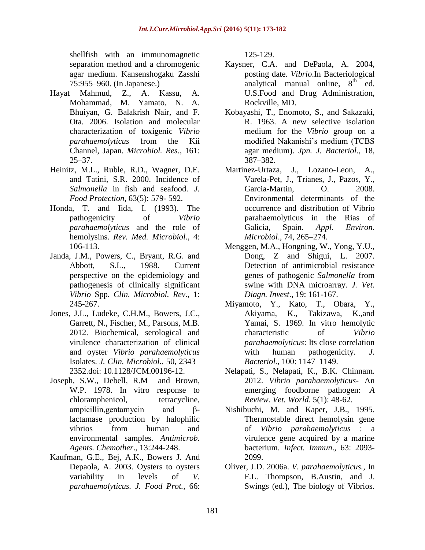shellfish with an immunomagnetic separation method and a chromogenic agar medium. Kansenshogaku Zasshi 75:955–960. (In Japanese.)

- Hayat Mahmud, Z., A. Kassu, A. Mohammad, M. Yamato, N. A. Bhuiyan, G. Balakrish Nair, and F. Ota. 2006. Isolation and molecular characterization of toxigenic *Vibrio parahaemolyticus* from the Kii Channel, Japan*. Microbiol. Res*., 161: 25–37.
- Heinitz, M.L., Ruble, R.D., Wagner, D.E. and Tatini, S.R. 2000. Incidence of *Salmonella* in fish and seafood. *J. Food Protection,* 63(5): 579- 592.
- Honda, T. and Iida, I. (1993). The pathogenicity of *Vibrio parahaemolyticus* and the role of hemolysins. *Rev. Med. Microbiol*., 4: 106-113.
- Janda, J.M., Powers, C., Bryant, R.G. and Abbott, S.L., 1988. Current perspective on the epidemiology and pathogenesis of clinically significant *Vibrio* Spp*. Clin. Microbiol. Rev*., 1: 245-267.
- Jones, J.L., Ludeke, C.H.M., Bowers, J.C., Garrett, N., Fischer, M., Parsons, M.B. 2012. Biochemical, serological and virulence characterization of clinical and oyster *Vibrio parahaemolyticus* Isolates. *J. Clin. Microbiol..* 50, 2343– 2352.doi: 10.1128/JCM.00196-12.
- Joseph, S.W., Debell, R.M and Brown, W.P. 1978. In vitro response to chloramphenicol, tetracycline, ampicillin,gentamycin and βlactamase production by halophilic vibrios from human and environmental samples. *Antimicrob. Agents. Chemother*., 13:244-248.
- Kaufman, G.E., Bej, A.K., Bowers J. And Depaola, A. 2003. Oysters to oysters variability in levels of *V. parahaemolyticus. J. Food Prot.,* 66:

125-129.

- Kaysner, C.A. and DePaola, A. 2004, posting date. *Vibrio*.In Bacteriological analytical manual online,  $8<sup>th</sup>$  ed. U.S.Food and Drug Administration, Rockville, MD.
- Kobayashi, T., Enomoto, S., and Sakazaki, R. 1963. A new selective isolation medium for the *Vibrio* group on a modified Nakanishi's medium (TCBS agar medium). *Jpn. J. Bacteriol.,* 18*,*  387–382.
- Martinez-Urtaza, J., Lozano-Leon, A., Varela-Pet, J., Trianes, J., Pazos, Y., Garcia-Martin, O. 2008. Environmental determinants of the occurrence and distribution of Vibrio parahaemolyticus in the Rias of Galicia, Spain. *Appl. Environ. Microbiol*., 74, 265–274.
- Menggen, M.A., Hongning, W., Yong, Y.U., Dong, Z and Shigui, L. 2007. Detection of antimicrobial resistance genes of pathogenic *Salmonella* from swine with DNA microarray. *J. Vet. Diagn. Invest*., 19: 161-167.
- Miyamoto, Y., Kato, T., Obara, Y., Akiyama, K., Takizawa, K.,and Yamai, S. 1969. In vitro hemolytic characteristic of *Vibrio parahaemolyticus*: Its close correlation with human pathogenicity. *J. Bacteriol.,* 100: 1147–1149.
- Nelapati, S., Nelapati, K., B.K. Chinnam. 2012. *Vibrio parahaemolyticus*- An emerging foodborne pathogen: *A Review. Vet. World*. 5(1): 48-62.
- Nishibuchi, M. and Kaper, J.B., 1995. Thermostable direct hemolysin gene of *Vibrio parahaemolyticus* : a virulence gene acquired by a marine bacterium. *Infect. Immun*., 63: 2093- 2099.
- Oliver, J.D. 2006a. *V. parahaemolyticus.,* In F.L. Thompson, B.Austin, and J. Swings (ed.), The biology of Vibrios.